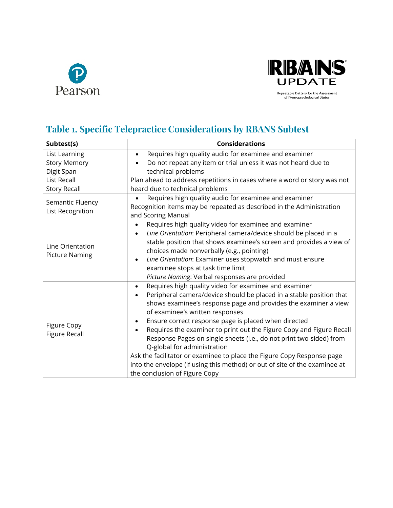



## **Table 1. Specific Telepractice Considerations by RBANS Subtest**

| Subtest(s)                                | <b>Considerations</b>                                                             |
|-------------------------------------------|-----------------------------------------------------------------------------------|
| List Learning                             | Requires high quality audio for examinee and examiner<br>$\bullet$                |
| <b>Story Memory</b>                       | Do not repeat any item or trial unless it was not heard due to                    |
| Digit Span                                | technical problems                                                                |
| <b>List Recall</b>                        | Plan ahead to address repetitions in cases where a word or story was not          |
| <b>Story Recall</b>                       | heard due to technical problems                                                   |
| Semantic Fluency<br>List Recognition      | Requires high quality audio for examinee and examiner                             |
|                                           | Recognition items may be repeated as described in the Administration              |
|                                           | and Scoring Manual                                                                |
| Line Orientation<br><b>Picture Naming</b> | Requires high quality video for examinee and examiner<br>$\bullet$                |
|                                           | Line Orientation: Peripheral camera/device should be placed in a<br>$\bullet$     |
|                                           | stable position that shows examinee's screen and provides a view of               |
|                                           | choices made nonverbally (e.g., pointing)                                         |
|                                           | Line Orientation: Examiner uses stopwatch and must ensure<br>$\bullet$            |
|                                           | examinee stops at task time limit                                                 |
|                                           | Picture Naming: Verbal responses are provided                                     |
| Figure Copy<br><b>Figure Recall</b>       | Requires high quality video for examinee and examiner<br>$\bullet$                |
|                                           | Peripheral camera/device should be placed in a stable position that<br>$\bullet$  |
|                                           | shows examinee's response page and provides the examiner a view                   |
|                                           | of examinee's written responses                                                   |
|                                           | Ensure correct response page is placed when directed<br>$\bullet$                 |
|                                           | Requires the examiner to print out the Figure Copy and Figure Recall<br>$\bullet$ |
|                                           | Response Pages on single sheets (i.e., do not print two-sided) from               |
|                                           | Q-global for administration                                                       |
|                                           | Ask the facilitator or examinee to place the Figure Copy Response page            |
|                                           | into the envelope (if using this method) or out of site of the examinee at        |
|                                           | the conclusion of Figure Copy                                                     |